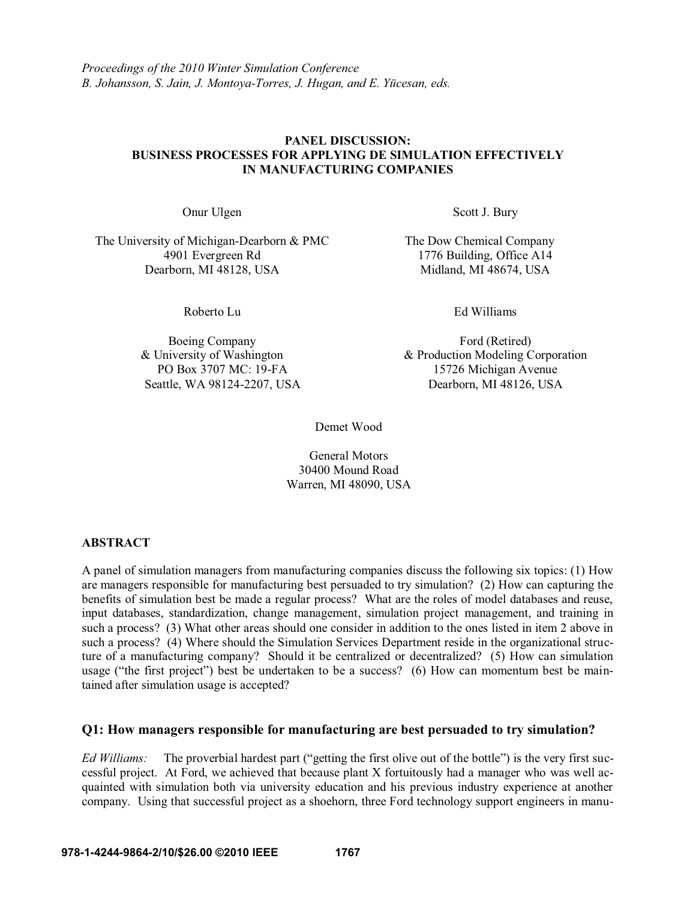## **978-1-4244-9864-2/10/\$26.00 ©2010 IEEE 1767**

### **PANEL DISCUSSION: BUSINESS PROCESSES FOR APPLYING DE SIMULATION EFFECTIVELY IN MANUFACTURING COMPANIES**

The University of Michigan-Dearborn & PMC The Dow Chemical Company 4901 Evergreen Rd<br>
1776 Building, Office A14<br>
1776 Building, Office A14<br>
Midland, MI 48674, USA Dearborn, MI 48128, USA

Boeing Company & University of Washington PO Box 3707 MC: 19-FA Seattle, WA 98124-2207, USA

Onur Ulgen Scott J. Bury

Roberto Lu **Ed Williams** 

Ford (Retired) & Production Modeling Corporation 15726 Michigan Avenue Dearborn, MI 48126, USA

Demet Wood

General Motors 30400 Mound Road Warren, MI 48090, USA

## **ABSTRACT**

A panel of simulation managers from manufacturing companies discuss the following six topics: (1) How are managers responsible for manufacturing best persuaded to try simulation? (2) How can capturing the benefits of simulation best be made a regular process? What are the roles of model databases and reuse, input databases, standardization, change management, simulation project management, and training in such a process? (3) What other areas should one consider in addition to the ones listed in item 2 above in such a process? (4) Where should the Simulation Services Department reside in the organizational structure of a manufacturing company? Should it be centralized or decentralized? (5) How can simulation usage ("the first project") best be undertaken to be a success? (6) How can momentum best be maintained after simulation usage is accepted?

## **Q1: How managers responsible for manufacturing are best persuaded to try simulation?**

Ed Williams: The proverbial hardest part ("getting the first olive out of the bottle") is the very first successful project. At Ford, we achieved that because plant X fortuitously had a manager who was well acquainted with simulation both via university education and his previous industry experience at another company. Using that successful project as a shoehorn, three Ford technology support engineers in manu-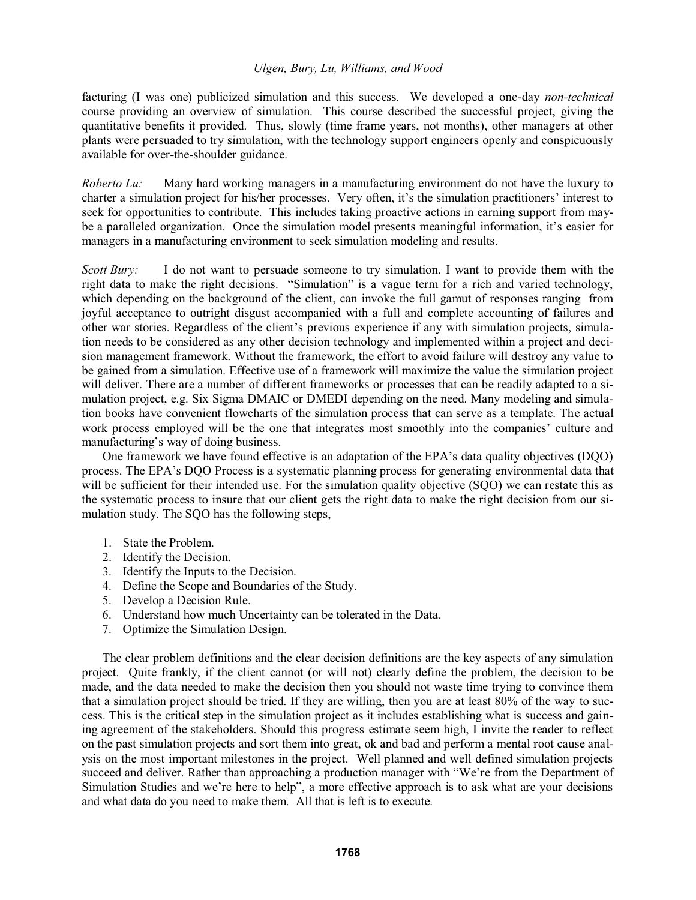facturing (I was one) publicized simulation and this success. We developed a one-day *non-technical* course providing an overview of simulation. This course described the successful project, giving the quantitative benefits it provided. Thus, slowly (time frame years, not months), other managers at other plants were persuaded to try simulation, with the technology support engineers openly and conspicuously available for over-the-shoulder guidance.

*Roberto Lu:* Many hard working managers in a manufacturing environment do not have the luxury to charter a simulation project for his/her processes. Very often, it's the simulation practitioners' interest to seek for opportunities to contribute. This includes taking proactive actions in earning support from maybe a paralleled organization. Once the simulation model presents meaningful information, it's easier for managers in a manufacturing environment to seek simulation modeling and results.

*Scott Bury:* I do not want to persuade someone to try simulation. I want to provide them with the right data to make the right decisions. "Simulation" is a vague term for a rich and varied technology, which depending on the background of the client, can invoke the full gamut of responses ranging from joyful acceptance to outright disgust accompanied with a full and complete accounting of failures and other war stories. Regardless of the client's previous experience if any with simulation projects, simulation needs to be considered as any other decision technology and implemented within a project and decision management framework. Without the framework, the effort to avoid failure will destroy any value to be gained from a simulation. Effective use of a framework will maximize the value the simulation project will deliver. There are a number of different frameworks or processes that can be readily adapted to a simulation project, e.g. Six Sigma DMAIC or DMEDI depending on the need. Many modeling and simulation books have convenient flowcharts of the simulation process that can serve as a template. The actual work process employed will be the one that integrates most smoothly into the companies' culture and manufacturing's way of doing business.

One framework we have found effective is an adaptation of the EPA's data quality objectives  $(DQO)$ process. The EPA's DOO Process is a systematic planning process for generating environmental data that will be sufficient for their intended use. For the simulation quality objective (SQO) we can restate this as the systematic process to insure that our client gets the right data to make the right decision from our simulation study. The SQO has the following steps,

- 1. State the Problem.
- 2. Identify the Decision.
- 3. Identify the Inputs to the Decision.
- 4. Define the Scope and Boundaries of the Study.
- 5. Develop a Decision Rule.
- 6. Understand how much Uncertainty can be tolerated in the Data.
- 7. Optimize the Simulation Design.

 The clear problem definitions and the clear decision definitions are the key aspects of any simulation project. Quite frankly, if the client cannot (or will not) clearly define the problem, the decision to be made, and the data needed to make the decision then you should not waste time trying to convince them that a simulation project should be tried. If they are willing, then you are at least 80% of the way to success. This is the critical step in the simulation project as it includes establishing what is success and gaining agreement of the stakeholders. Should this progress estimate seem high, I invite the reader to reflect on the past simulation projects and sort them into great, ok and bad and perform a mental root cause analysis on the most important milestones in the project. Well planned and well defined simulation projects succeed and deliver. Rather than approaching a production manager with "We're from the Department of Simulation Studies and we're here to help", a more effective approach is to ask what are your decisions and what data do you need to make them. All that is left is to execute.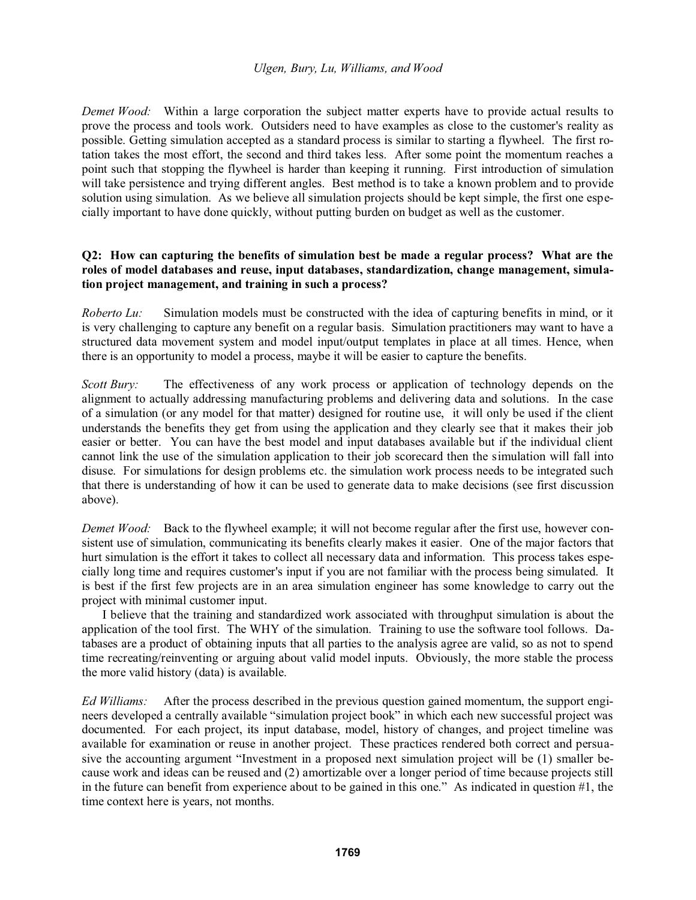*Demet Wood:* Within a large corporation the subject matter experts have to provide actual results to prove the process and tools work. Outsiders need to have examples as close to the customer's reality as possible. Getting simulation accepted as a standard process is similar to starting a flywheel. The first rotation takes the most effort, the second and third takes less. After some point the momentum reaches a point such that stopping the flywheel is harder than keeping it running. First introduction of simulation will take persistence and trying different angles. Best method is to take a known problem and to provide solution using simulation. As we believe all simulation projects should be kept simple, the first one especially important to have done quickly, without putting burden on budget as well as the customer.

## **Q2: How can capturing the benefits of simulation best be made a regular process? What are the roles of model databases and reuse, input databases, standardization, change management, simulation project management, and training in such a process?**

*Roberto Lu:* Simulation models must be constructed with the idea of capturing benefits in mind, or it is very challenging to capture any benefit on a regular basis. Simulation practitioners may want to have a structured data movement system and model input/output templates in place at all times. Hence, when there is an opportunity to model a process, maybe it will be easier to capture the benefits.

*Scott Bury:* The effectiveness of any work process or application of technology depends on the alignment to actually addressing manufacturing problems and delivering data and solutions. In the case of a simulation (or any model for that matter) designed for routine use, it will only be used if the client understands the benefits they get from using the application and they clearly see that it makes their job easier or better. You can have the best model and input databases available but if the individual client cannot link the use of the simulation application to their job scorecard then the simulation will fall into disuse. For simulations for design problems etc. the simulation work process needs to be integrated such that there is understanding of how it can be used to generate data to make decisions (see first discussion above).

*Demet Wood:* Back to the flywheel example; it will not become regular after the first use, however consistent use of simulation, communicating its benefits clearly makes it easier. One of the major factors that hurt simulation is the effort it takes to collect all necessary data and information. This process takes especially long time and requires customer's input if you are not familiar with the process being simulated. It is best if the first few projects are in an area simulation engineer has some knowledge to carry out the project with minimal customer input.

 I believe that the training and standardized work associated with throughput simulation is about the application of the tool first. The WHY of the simulation. Training to use the software tool follows. Databases are a product of obtaining inputs that all parties to the analysis agree are valid, so as not to spend time recreating/reinventing or arguing about valid model inputs. Obviously, the more stable the process the more valid history (data) is available.

*Ed Williams:* After the process described in the previous question gained momentum, the support engi neers developed a centrally available "simulation project book" in which each new successful project was documented. For each project, its input database, model, history of changes, and project timeline was available for examination or reuse in another project. These practices rendered both correct and persua sive the accounting argument "Investment in a proposed next simulation project will be (1) smaller because work and ideas can be reused and (2) amortizable over a longer period of time because projects still in the future can benefit from experience about to be gained in this one." As indicated in question  $#1$ , the time context here is years, not months.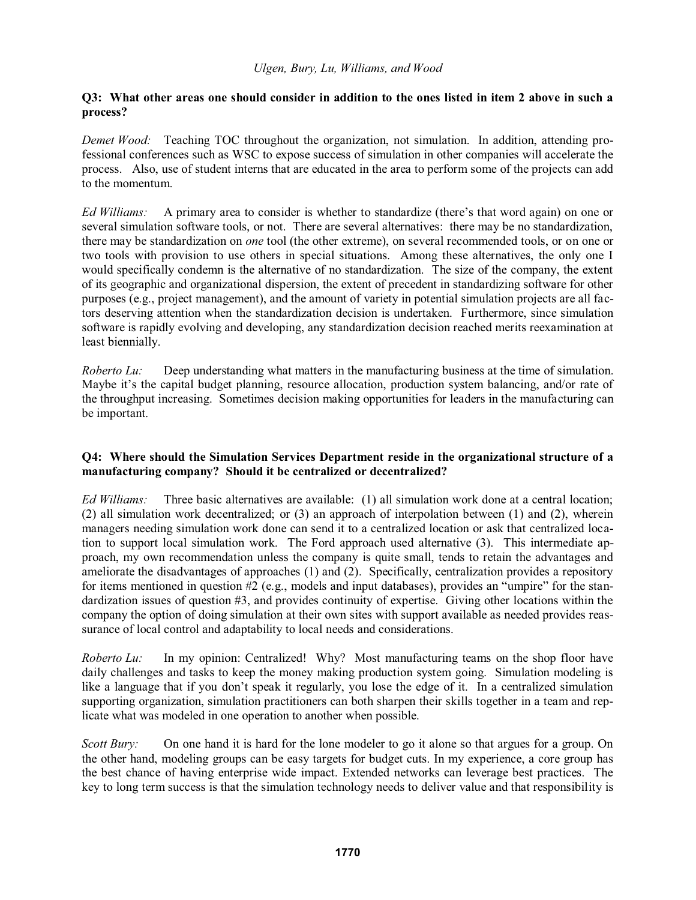## **Q3: What other areas one should consider in addition to the ones listed in item 2 above in such a process?**

*Demet Wood:* Teaching TOC throughout the organization, not simulation. In addition, attending professional conferences such as WSC to expose success of simulation in other companies will accelerate the process. Also, use of student interns that are educated in the area to perform some of the projects can add to the momentum.

Ed Williams: A primary area to consider is whether to standardize (there's that word again) on one or several simulation software tools, or not. There are several alternatives: there may be no standardization, there may be standardization on *one* tool (the other extreme), on several recommended tools, or on one or two tools with provision to use others in special situations. Among these alternatives, the only one I would specifically condemn is the alternative of no standardization. The size of the company, the extent of its geographic and organizational dispersion, the extent of precedent in standardizing software for other purposes (e.g., project management), and the amount of variety in potential simulation projects are all factors deserving attention when the standardization decision is undertaken. Furthermore, since simulation software is rapidly evolving and developing, any standardization decision reached merits reexamination at least biennially.

*Roberto Lu:* Deep understanding what matters in the manufacturing business at the time of simulation. Maybe it's the capital budget planning, resource allocation, production system balancing, and/or rate of the throughput increasing. Sometimes decision making opportunities for leaders in the manufacturing can be important.

# **Q4: Where should the Simulation Services Department reside in the organizational structure of a manufacturing company? Should it be centralized or decentralized?**

*Ed Williams:* Three basic alternatives are available: (1) all simulation work done at a central location; (2) all simulation work decentralized; or (3) an approach of interpolation between (1) and (2), wherein managers needing simulation work done can send it to a centralized location or ask that centralized location to support local simulation work. The Ford approach used alternative (3). This intermediate approach, my own recommendation unless the company is quite small, tends to retain the advantages and ameliorate the disadvantages of approaches (1) and (2). Specifically, centralization provides a repository for items mentioned in question  $#2$  (e.g., models and input databases), provides an "umpire" for the standardization issues of question #3, and provides continuity of expertise. Giving other locations within the company the option of doing simulation at their own sites with support available as needed provides reassurance of local control and adaptability to local needs and considerations.

*Roberto Lu:* In my opinion: Centralized! Why? Most manufacturing teams on the shop floor have daily challenges and tasks to keep the money making production system going. Simulation modeling is like a language that if you don't speak it regularly, you lose the edge of it. In a centralized simulation supporting organization, simulation practitioners can both sharpen their skills together in a team and replicate what was modeled in one operation to another when possible.

*Scott Bury:* On one hand it is hard for the lone modeler to go it alone so that argues for a group. On the other hand, modeling groups can be easy targets for budget cuts. In my experience, a core group has the best chance of having enterprise wide impact. Extended networks can leverage best practices. The key to long term success is that the simulation technology needs to deliver value and that responsibility is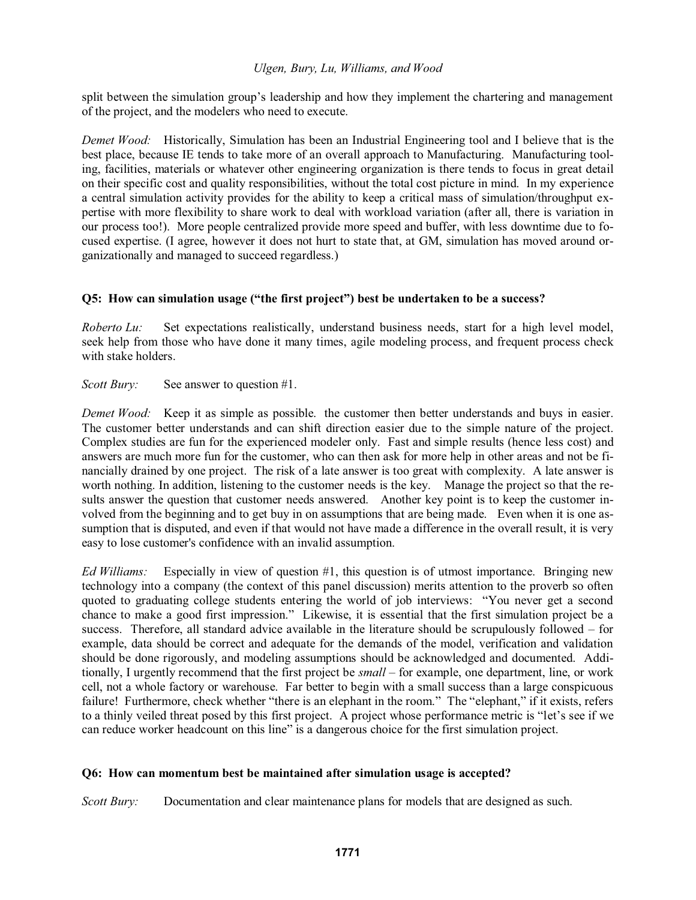split between the simulation group's leadership and how they implement the chartering and management of the project, and the modelers who need to execute.

*Demet Wood:* Historically, Simulation has been an Industrial Engineering tool and I believe that is the best place, because IE tends to take more of an overall approach to Manufacturing. Manufacturing tooling, facilities, materials or whatever other engineering organization is there tends to focus in great detail on their specific cost and quality responsibilities, without the total cost picture in mind. In my experience a central simulation activity provides for the ability to keep a critical mass of simulation/throughput expertise with more flexibility to share work to deal with workload variation (after all, there is variation in our process too!). More people centralized provide more speed and buffer, with less downtime due to focused expertise. (I agree, however it does not hurt to state that, at GM, simulation has moved around organizationally and managed to succeed regardless.)

# O5: How can simulation usage ("the first project") best be undertaken to be a success?

*Roberto Lu:* Set expectations realistically, understand business needs, start for a high level model, seek help from those who have done it many times, agile modeling process, and frequent process check with stake holders.

*Scott Bury:* See answer to question #1.

*Demet Wood:* Keep it as simple as possible. the customer then better understands and buys in easier. The customer better understands and can shift direction easier due to the simple nature of the project. Complex studies are fun for the experienced modeler only. Fast and simple results (hence less cost) and answers are much more fun for the customer, who can then ask for more help in other areas and not be financially drained by one project. The risk of a late answer is too great with complexity. A late answer is worth nothing. In addition, listening to the customer needs is the key. Manage the project so that the results answer the question that customer needs answered. Another key point is to keep the customer involved from the beginning and to get buy in on assumptions that are being made. Even when it is one assumption that is disputed, and even if that would not have made a difference in the overall result, it is very easy to lose customer's confidence with an invalid assumption.

*Ed Williams:* Especially in view of question #1, this question is of utmost importance. Bringing new technology into a company (the context of this panel discussion) merits attention to the proverb so often quoted to graduating college students entering the world of job interviews: "You never get a second chance to make a good first impression." Likewise, it is essential that the first simulation project be a success. Therefore, all standard advice available in the literature should be scrupulously followed  $-$  for example, data should be correct and adequate for the demands of the model, verification and validation should be done rigorously, and modeling assumptions should be acknowledged and documented. Additionally, I urgently recommend that the first project be *small* – for example, one department, line, or work cell, not a whole factory or warehouse. Far better to begin with a small success than a large conspicuous failure! Furthermore, check whether "there is an elephant in the room." The "elephant," if it exists, refers to a thinly veiled threat posed by this first project. A project whose performance metric is "let's see if we can reduce worker headcount on this line" is a dangerous choice for the first simulation project.

## **Q6: How can momentum best be maintained after simulation usage is accepted?**

*Scott Bury:* Documentation and clear maintenance plans for models that are designed as such.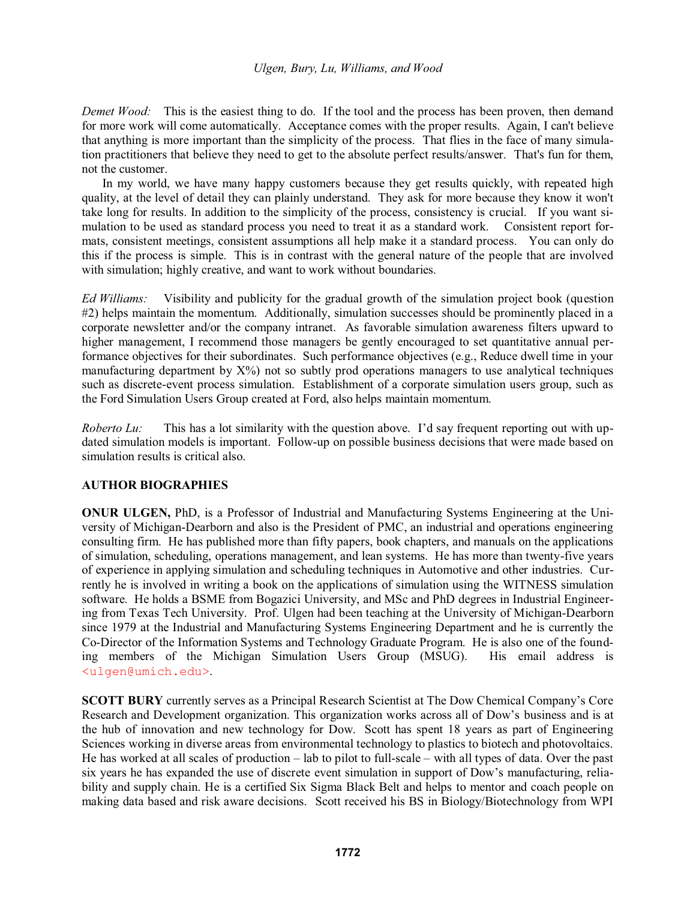*Demet Wood:* This is the easiest thing to do. If the tool and the process has been proven, then demand for more work will come automatically. Acceptance comes with the proper results. Again, I can't believe that anything is more important than the simplicity of the process. That flies in the face of many simulation practitioners that believe they need to get to the absolute perfect results/answer. That's fun for them, not the customer.

 In my world, we have many happy customers because they get results quickly, with repeated high quality, at the level of detail they can plainly understand. They ask for more because they know it won't take long for results. In addition to the simplicity of the process, consistency is crucial. If you want simulation to be used as standard process you need to treat it as a standard work. Consistent report formats, consistent meetings, consistent assumptions all help make it a standard process. You can only do this if the process is simple. This is in contrast with the general nature of the people that are involved with simulation; highly creative, and want to work without boundaries.

*Ed Williams:* Visibility and publicity for the gradual growth of the simulation project book (question #2) helps maintain the momentum. Additionally, simulation successes should be prominently placed in a corporate newsletter and/or the company intranet. As favorable simulation awareness filters upward to higher management, I recommend those managers be gently encouraged to set quantitative annual performance objectives for their subordinates. Such performance objectives (e.g., Reduce dwell time in your manufacturing department by  $X\%$ ) not so subtly prod operations managers to use analytical techniques such as discrete-event process simulation. Establishment of a corporate simulation users group, such as the Ford Simulation Users Group created at Ford, also helps maintain momentum.

*Roberto Lu*: This has a lot similarity with the question above. I'd say frequent reporting out with updated simulation models is important. Follow-up on possible business decisions that were made based on simulation results is critical also.

## **AUTHOR BIOGRAPHIES**

**ONUR ULGEN,** PhD, is a Professor of Industrial and Manufacturing Systems Engineering at the University of Michigan-Dearborn and also is the President of PMC, an industrial and operations engineering consulting firm. He has published more than fifty papers, book chapters, and manuals on the applications of simulation, scheduling, operations management, and lean systems. He has more than twenty-five years of experience in applying simulation and scheduling techniques in Automotive and other industries. Currently he is involved in writing a book on the applications of simulation using the WITNESS simulation software. He holds a BSME from Bogazici University, and MSc and PhD degrees in Industrial Engineering from Texas Tech University. Prof. Ulgen had been teaching at the University of Michigan-Dearborn since 1979 at the Industrial and Manufacturing Systems Engineering Department and he is currently the Co-Director of the Information Systems and Technology Graduate Program. He is also one of the founding members of the Michigan Simulation Users Group (MSUG). His email address is <ulgen@umich.edu>.

**SCOTT BURY** currently serves as a Principal Research Scientist at The Dow Chemical Company's Core Research and Development organization. This organization works across all of Dow's business and is at the hub of innovation and new technology for Dow. Scott has spent 18 years as part of Engineering Sciences working in diverse areas from environmental technology to plastics to biotech and photovoltaics. He has worked at all scales of production  $-$  lab to pilot to full-scale  $-$  with all types of data. Over the past six years he has expanded the use of discrete event simulation in support of Dow's manufacturing, reliability and supply chain. He is a certified Six Sigma Black Belt and helps to mentor and coach people on making data based and risk aware decisions. Scott received his BS in Biology/Biotechnology from WPI